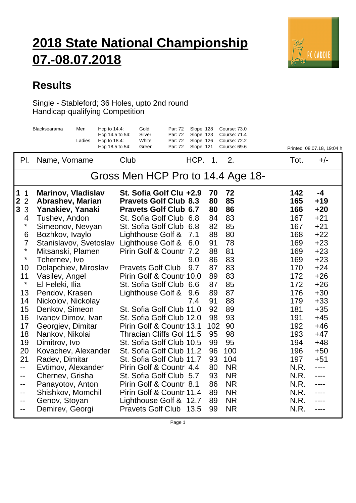## **2018 State National Championship 07.-08.07.2018**



## **Results**

Single - Stableford; 36 Holes, upto 2nd round Handicap-qualifying Competition

|                                     | Blacksearama<br>Men               | Hcp to 14.4:<br>Hcp 14.5 to 54: | Gold<br>Silver                                       | Par: 72<br>Par: 72 | Slope: 128<br>Slope: 123 |          | <b>Course: 73.0</b><br><b>Course: 71.4</b> |            |                            |
|-------------------------------------|-----------------------------------|---------------------------------|------------------------------------------------------|--------------------|--------------------------|----------|--------------------------------------------|------------|----------------------------|
|                                     | Ladies                            | Hcp to 18.4:<br>Hcp 18.5 to 54: | White<br>Green                                       | Par: 72<br>Par: 72 | Slope: 126<br>Slope: 121 |          | <b>Course: 72.2</b><br>Course: 69.6        |            | Printed: 08.07.18, 19:04 h |
| PI.                                 | Name, Vorname                     |                                 | Club                                                 |                    | HCP.                     | 1.       | 2.                                         | Tot.       | $+/-$                      |
|                                     |                                   |                                 | Gross Men HCP Pro to 14.4 Age 18-                    |                    |                          |          |                                            |            |                            |
| 1<br>$\mathbf 1$                    | <b>Marinov, Vladislav</b>         |                                 | St. Sofia Golf Clu +2.9                              |                    |                          | 70       | 72                                         | 142        | $-4$                       |
| $\mathbf{2}$<br>$\overline{2}$<br>3 | <b>Abrashev, Marian</b>           |                                 | <b>Pravets Golf Club</b><br><b>Pravets Golf Club</b> |                    | 8.3<br>6.7               | 80<br>80 | 85<br>86                                   | 165<br>166 | $+19$<br>$+20$             |
| 3<br>4                              | Yanakiev, Yanaki                  |                                 | St. Sofia Golf Club                                  |                    | 6.8                      | 84       | 83                                         | 167        | $+21$                      |
| $\star$                             | Tushev, Andon<br>Simeonov, Nevyan |                                 | St. Sofia Golf Club                                  |                    | 6.8                      | 82       | 85                                         | 167        | $+21$                      |
| 6                                   | Bozhkov, Ivaylo                   |                                 | Lighthouse Golf &                                    |                    | 7.1                      | 88       | 80                                         | 168        | $+22$                      |
| $\overline{7}$                      | Stanislavov, Svetoslav            |                                 | Lighthouse Golf &                                    |                    | 6.0                      | 91       | 78                                         | 169        | $+23$                      |
| $\star$                             | Mitsanski, Plamen                 |                                 | Pirin Golf & Countr                                  |                    | 7.2                      | 88       | 81                                         | 169        | $+23$                      |
| $\star$                             | Tchernev, Ivo                     |                                 |                                                      |                    | 9.0                      | 86       | 83                                         | 169        | $+23$                      |
| 10                                  | Dolapchiev, Miroslav              |                                 | <b>Pravets Golf Club</b>                             |                    | 9.7                      | 87       | 83                                         | 170        | $+24$                      |
| 11                                  | Vasilev, Angel                    |                                 | Pirin Golf & Countr                                  |                    | 10.0                     | 89       | 83                                         | 172        | $+26$                      |
| $\star$                             | El Feleki, Ilia                   |                                 | St. Sofia Golf Club                                  |                    | 6.6                      | 87       | 85                                         | 172        | $+26$                      |
| 13                                  | Pendov, Krasen                    |                                 | Lighthouse Golf &                                    |                    | 9.6                      | 89       | 87                                         | 176        | $+30$                      |
| 14                                  | Nickolov, Nickolay                |                                 |                                                      |                    | 7.4                      | 91       | 88                                         | 179        | $+33$                      |
| 15                                  | Denkov, Simeon                    |                                 | St. Sofia Golf Club 11.0                             |                    |                          | 92       | 89                                         | 181        | $+35$                      |
| 16                                  | Ivanov Dimov, Ivan                |                                 | St. Sofia Golf Club 12.0                             |                    |                          | 98       | 93                                         | 191        | $+45$                      |
| 17                                  | Georgiev, Dimitar                 |                                 | Pirin Golf & Countr 13.1                             |                    |                          | 102      | 90                                         | 192        | $+46$                      |
| 18                                  | Nankov, Nikolai                   |                                 | Thracian Cliffs Gol 11.5                             |                    |                          | 95       | 98                                         | 193        | $+47$                      |
| 19                                  | Dimitrov, Ivo                     |                                 | St. Sofia Golf Club 10.5                             |                    |                          | 99       | 95                                         | 194        | $+48$                      |
| 20                                  | Kovachev, Alexander               |                                 | St. Sofia Golf Club 11.2                             |                    |                          | 96       | 100                                        | 196        | $+50$                      |
| 21                                  | Radev, Dimitar                    |                                 | St. Sofia Golf Club 11.7                             |                    |                          | 93       | 104                                        | 197        | $+51$                      |
| --                                  | Evtimov, Alexander                |                                 | Pirin Golf & Countr                                  |                    | 4.4                      | 80       | <b>NR</b>                                  | N.R.       |                            |
| --                                  | Chernev, Grisha                   |                                 | St. Sofia Golf Club                                  |                    | 5.7                      | 93       | <b>NR</b>                                  | N.R.       | ----                       |
| --                                  | Panayotov, Anton                  |                                 | Pirin Golf & Countr                                  |                    | 8.1                      | 86       | <b>NR</b>                                  | N.R.       | ----                       |
| --                                  | Shishkov, Momchil                 |                                 | Pirin Golf & Countr 11.4                             |                    |                          | 89       | <b>NR</b>                                  | N.R.       | ----                       |
| --                                  | Genov, Stoyan                     |                                 | Lighthouse Golf &                                    |                    | 12.7                     | 89       | <b>NR</b>                                  | N.R.       | ----                       |
|                                     | Demirev, Georgi                   |                                 | <b>Pravets Golf Club</b>                             |                    | 13.5                     | 99       | <b>NR</b>                                  | N.R.       | ----                       |

Page 1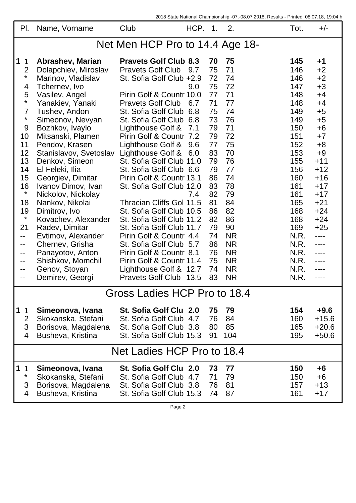2018 State National Championship -07.-08.07.2018, Results - Printed: 08.07.18, 19:04 h

| PI.                             | Name, Vorname                        | Club                                                 | HCP.   | 1.       | 2.        | Tot.       | $+/-$          |  |  |
|---------------------------------|--------------------------------------|------------------------------------------------------|--------|----------|-----------|------------|----------------|--|--|
| Net Men HCP Pro to 14.4 Age 18- |                                      |                                                      |        |          |           |            |                |  |  |
| $\mathbf 1$<br>$\mathbf{1}$     | <b>Abrashev, Marian</b>              | <b>Pravets Golf Club 8.3</b>                         |        | 70       | 75        | 145        | $+1$           |  |  |
| $\overline{2}$                  | Dolapchiev, Miroslav                 | <b>Pravets Golf Club</b>                             | 9.7    | 75       | 71        | 146        | $+2$           |  |  |
| $\star$                         | Marinov, Vladislav                   | St. Sofia Golf Club                                  | $+2.9$ | 72       | 74        | 146        | $+2$           |  |  |
| 4                               | Tchernev, Ivo                        |                                                      | 9.0    | 75       | 72        | 147        | $+3$           |  |  |
| 5<br>*                          | Vasilev, Angel                       | Pirin Golf & Countr 10.0<br><b>Pravets Golf Club</b> | 6.7    | 77<br>71 | 71<br>77  | 148<br>148 | $+4$<br>$+4$   |  |  |
| $\overline{7}$                  | Yanakiev, Yanaki<br>Tushev, Andon    | St. Sofia Golf Club                                  | 6.8    | 75       | 74        | 149        | $+5$           |  |  |
| $\star$                         | Simeonov, Nevyan                     | St. Sofia Golf Club                                  | 6.8    | 73       | 76        | 149        | $+5$           |  |  |
| 9                               | Bozhkov, Ivaylo                      | Lighthouse Golf &                                    | 7.1    | 79       | 71        | 150        | $+6$           |  |  |
| 10                              | Mitsanski, Plamen                    | Pirin Golf & Countr                                  | 7.2    | 79       | 72        | 151        | $+7$           |  |  |
| 11                              | Pendov, Krasen                       | Lighthouse Golf &                                    | 9.6    | 77       | 75        | 152        | $+8$           |  |  |
| 12                              | Stanislavov, Svetoslav               | Lighthouse Golf &                                    | 6.0    | 83       | 70        | 153        | $+9$           |  |  |
| 13                              | Denkov, Simeon                       | St. Sofia Golf Club                                  | 11.0   | 79       | 76        | 155        | $+11$          |  |  |
| 14                              | El Feleki, Ilia                      | St. Sofia Golf Club                                  | 6.6    | 79       | 77        | 156        | $+12$          |  |  |
| 15                              | Georgiev, Dimitar                    | Pirin Golf & Countr 13.1                             |        | 86       | 74        | 160        | $+16$          |  |  |
| 16<br>$\star$                   | Ivanov Dimov, Ivan                   | St. Sofia Golf Club                                  | 12.0   | 83       | 78        | 161        | $+17$          |  |  |
|                                 | Nickolov, Nickolay                   |                                                      | 7.4    | 82       | 79        | 161        | $+17$          |  |  |
| 18                              | Nankov, Nikolai                      | Thracian Cliffs Goll 11.5                            |        | 81       | 84<br>82  | 165        | $+21$<br>$+24$ |  |  |
| 19<br>$\star$                   | Dimitrov, Ivo<br>Kovachev, Alexander | St. Sofia Golf Club 10.5<br>St. Sofia Golf Club 11.2 |        | 86<br>82 | 86        | 168<br>168 | $+24$          |  |  |
| 21                              | Radev, Dimitar                       | St. Sofia Golf Club 11.7                             |        | 79       | 90        | 169        | $+25$          |  |  |
| --                              | Evtimov, Alexander                   | Pirin Golf & Countr                                  | 4.4    | 74       | <b>NR</b> | N.R.       |                |  |  |
| --                              | Chernev, Grisha                      | St. Sofia Golf Club                                  | 5.7    | 86       | <b>NR</b> | N.R.       |                |  |  |
| --                              | Panayotov, Anton                     | Pirin Golf & Countr                                  | 8.1    | 76       | <b>NR</b> | N.R.       |                |  |  |
| --                              | Shishkov, Momchil                    | Pirin Golf & Countr 11.4                             |        | 75       | <b>NR</b> | N.R.       |                |  |  |
| --                              | Genov, Stoyan                        | Lighthouse Golf $8$                                  | 12.7   | 74       | <b>NR</b> | N.R.       |                |  |  |
| --                              | Demirev, Georgi                      | <b>Pravets Golf Club</b>                             | 13.5   | 83       | <b>NR</b> | N.R.       | ----           |  |  |
| Gross Ladies HCP Pro to 18.4    |                                      |                                                      |        |          |           |            |                |  |  |
| $\mathbf 1$<br>$\mathbf{1}$     | Simeonova, Ivana                     | St. Sofia Golf Clu                                   | 2.0    | 75       | 79        | 154        | $+9.6$         |  |  |
| $\overline{2}$                  | Skokanska, Stefani                   | St. Sofia Golf Club                                  | 4.7    | 76       | 84        | 160        | $+15.6$        |  |  |
| 3                               | Borisova, Magdalena                  | St. Sofia Golf Club                                  | 3.8    | 80       | 85        | 165        | $+20.6$        |  |  |
| 4                               | Busheva, Kristina                    | St. Sofia Golf Club 15.3                             |        | 91       | 104       | 195        | $+50.6$        |  |  |
| Net Ladies HCP Pro to 18.4      |                                      |                                                      |        |          |           |            |                |  |  |
| $\vert$ 1<br>$\overline{1}$     | Simeonova, Ivana                     | St. Sofia Golf Clu                                   | 2.0    | 73       | 77        | 150        | +6             |  |  |
| $\star$                         | Skokanska, Stefani                   | St. Sofia Golf Club                                  | 4.7    | 71       | 79        | 150        | $+6$           |  |  |
| 3                               | Borisova, Magdalena                  | St. Sofia Golf Club                                  | 3.8    | 76       | 81        | 157        | $+13$          |  |  |
| 4                               | Busheva, Kristina                    | St. Sofia Golf Club 15.3                             |        | 74       | 87        | 161        | $+17$          |  |  |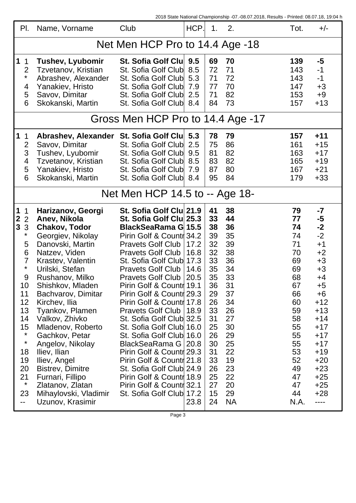2018 State National Championship -07.-08.07.2018, Results - Printed: 08.07.18, 19:04 h

| PI.                                                                                                                                                                                                                                         | Name, Vorname                                                                                                                                                                                                                                                                                                                                                                                                                                                                             | Club                                                                                                                                                                                                                                                                                                                                                                                                                                                                                                                                                                                                                                                         | HCP.                                   | 1.                                                                                                                                           | 2.                                                                                                                                                  | Tot.                                                                                                                                           | $+/-$                                                                                                                                                                                            |  |  |
|---------------------------------------------------------------------------------------------------------------------------------------------------------------------------------------------------------------------------------------------|-------------------------------------------------------------------------------------------------------------------------------------------------------------------------------------------------------------------------------------------------------------------------------------------------------------------------------------------------------------------------------------------------------------------------------------------------------------------------------------------|--------------------------------------------------------------------------------------------------------------------------------------------------------------------------------------------------------------------------------------------------------------------------------------------------------------------------------------------------------------------------------------------------------------------------------------------------------------------------------------------------------------------------------------------------------------------------------------------------------------------------------------------------------------|----------------------------------------|----------------------------------------------------------------------------------------------------------------------------------------------|-----------------------------------------------------------------------------------------------------------------------------------------------------|------------------------------------------------------------------------------------------------------------------------------------------------|--------------------------------------------------------------------------------------------------------------------------------------------------------------------------------------------------|--|--|
| Net Men HCP Pro to 14.4 Age -18                                                                                                                                                                                                             |                                                                                                                                                                                                                                                                                                                                                                                                                                                                                           |                                                                                                                                                                                                                                                                                                                                                                                                                                                                                                                                                                                                                                                              |                                        |                                                                                                                                              |                                                                                                                                                     |                                                                                                                                                |                                                                                                                                                                                                  |  |  |
| $\mathbf 1$<br>$\mathbf 1$<br>$\overline{2}$<br>$\star$<br>4<br>5<br>6                                                                                                                                                                      | <b>Tushev, Lyubomir</b><br>Tzvetanov, Kristian<br>Abrashev, Alexander<br>Yanakiev, Hristo<br>Savov, Dimitar<br>Skokanski, Martin                                                                                                                                                                                                                                                                                                                                                          | St. Sofia Golf Clu<br>St. Sofia Golf Club<br>St. Sofia Golf Club<br>St. Sofia Golf Club<br>St. Sofia Golf Club<br>St. Sofia Golf Club                                                                                                                                                                                                                                                                                                                                                                                                                                                                                                                        | 9.5<br>8.5<br>5.3<br>7.9<br>2.5<br>8.4 | 69<br>72<br>71<br>77<br>71<br>84                                                                                                             | 70<br>71<br>72<br>70<br>82<br>73                                                                                                                    | 139<br>143<br>143<br>147<br>153<br>157                                                                                                         | -5<br>$-1$<br>$-1$<br>$+3$<br>$+9$<br>$+13$                                                                                                                                                      |  |  |
| Gross Men HCP Pro to 14.4 Age -17                                                                                                                                                                                                           |                                                                                                                                                                                                                                                                                                                                                                                                                                                                                           |                                                                                                                                                                                                                                                                                                                                                                                                                                                                                                                                                                                                                                                              |                                        |                                                                                                                                              |                                                                                                                                                     |                                                                                                                                                |                                                                                                                                                                                                  |  |  |
| 1<br>$\mathbf 1$<br>$\overline{2}$<br>3<br>4<br>5<br>6                                                                                                                                                                                      | Abrashev, Alexander St. Sofia Golf Clu 5.3<br>Savov, Dimitar<br>Tushev, Lyubomir<br>Tzvetanov, Kristian<br>Yanakiev, Hristo<br>Skokanski, Martin                                                                                                                                                                                                                                                                                                                                          | St. Sofia Golf Club<br>St. Sofia Golf Club<br>St. Sofia Golf Club<br>St. Sofia Golf Club<br>St. Sofia Golf Club                                                                                                                                                                                                                                                                                                                                                                                                                                                                                                                                              | 2.5<br>9.5<br>8.5<br>7.9<br>8.4        | 78<br>75<br>81<br>83<br>87<br>95                                                                                                             | 79<br>86<br>82<br>82<br>80<br>84                                                                                                                    | 157<br>161<br>163<br>165<br>167<br>179                                                                                                         | $+11$<br>$+15$<br>$+17$<br>$+19$<br>$+21$<br>$+33$                                                                                                                                               |  |  |
| Net Men HCP 14.5 to -- Age 18-                                                                                                                                                                                                              |                                                                                                                                                                                                                                                                                                                                                                                                                                                                                           |                                                                                                                                                                                                                                                                                                                                                                                                                                                                                                                                                                                                                                                              |                                        |                                                                                                                                              |                                                                                                                                                     |                                                                                                                                                |                                                                                                                                                                                                  |  |  |
| $\mathbf 1$<br>$\mathbf 1$<br>$\mathbf{2}$<br>$\overline{2}$<br>$\mathbf{3}$<br>3<br>$\star$<br>5<br>6<br>$\overline{7}$<br>$\star$<br>9<br>10<br>11<br>12<br>13<br>14<br>15<br>$\star$<br>$\star$<br>18<br>19<br>20<br>21<br>$\star$<br>23 | Harizanov, Georgi<br>Anev, Nikola<br><b>Chakov, Todor</b><br>Georgiev, Nikolay<br>Danovski, Martin<br>Natzev, Viden<br>Krastev, Valentin<br>Urilski, Stefan<br>Rushanov, Milko<br>Shishkov, Mladen<br>Bachvarov, Dimitar<br>Kirchev, Ilia<br>Tyankov, Plamen<br>Valkov, Zhivko<br>Mladenov, Roberto<br>Gachkov, Petar<br>Angelov, Nikolay<br>Iliev, Ilian<br>Iliev, Angel<br><b>Bistrev, Dimitre</b><br>Furnari, Fillipo<br>Zlatanov, Zlatan<br>Mihaylovski, Vladimir<br>Uzunov, Krasimir | St. Sofia Golf Clu 21.9<br>St. Sofia Golf Clu 25.3<br><b>BlackSeaRama G  15.5</b><br>Pirin Golf & Countr 34.2<br>Pravets Golf Club   17.2<br><b>Pravets Golf Club</b><br>St. Sofia Golf Club 17.3<br>Pravets Golf Club   14.6<br>Pravets Golf Club  <br>Pirin Golf & Countr 19.1<br>Pirin Golf & Countre 29.3<br>Pirin Golf & Countr 17.8<br>Pravets Golf Club   18.9<br>St. Sofia Golf Club 32.5<br>St. Sofia Golf Club 16.0<br>St. Sofia Golf Club 16.0<br>BlackSeaRama G   20.8<br>Pirin Golf & Countre 29.3<br>Pirin Golf & Countre 21.8<br>St. Sofia Golf Club 24.9<br>Pirin Golf & Countr 18.9<br>Pirin Golf & Countr 32.1<br>St. Sofia Golf Club 17.2 | 16.8<br>20.5<br>23.8                   | 41<br>33<br>38<br>39<br>32<br>32<br>33<br>35<br>35<br>36<br>29<br>26<br>33<br>31<br>25<br>26<br>30<br>31<br>33<br>26<br>25<br>27<br>15<br>24 | 38<br>44<br>36<br>35<br>39<br>38<br>36<br>34<br>33<br>31<br>37<br>34<br>26<br>27<br>30<br>29<br>25<br>22<br>19<br>23<br>22<br>20<br>29<br><b>NA</b> | 79<br>77<br>74<br>74<br>71<br>70<br>69<br>69<br>68<br>67<br>66<br>60<br>59<br>58<br>55<br>55<br>55<br>53<br>52<br>49<br>47<br>47<br>44<br>N.A. | -7<br>-5<br>$-2$<br>$-2$<br>$+1$<br>$+2$<br>$+3$<br>$+3$<br>+4<br>$+5$<br>+6<br>$+12$<br>$+13$<br>$+14$<br>$+17$<br>$+17$<br>$+17$<br>$+19$<br>$+20$<br>$+23$<br>$+25$<br>$+25$<br>$+28$<br>---- |  |  |